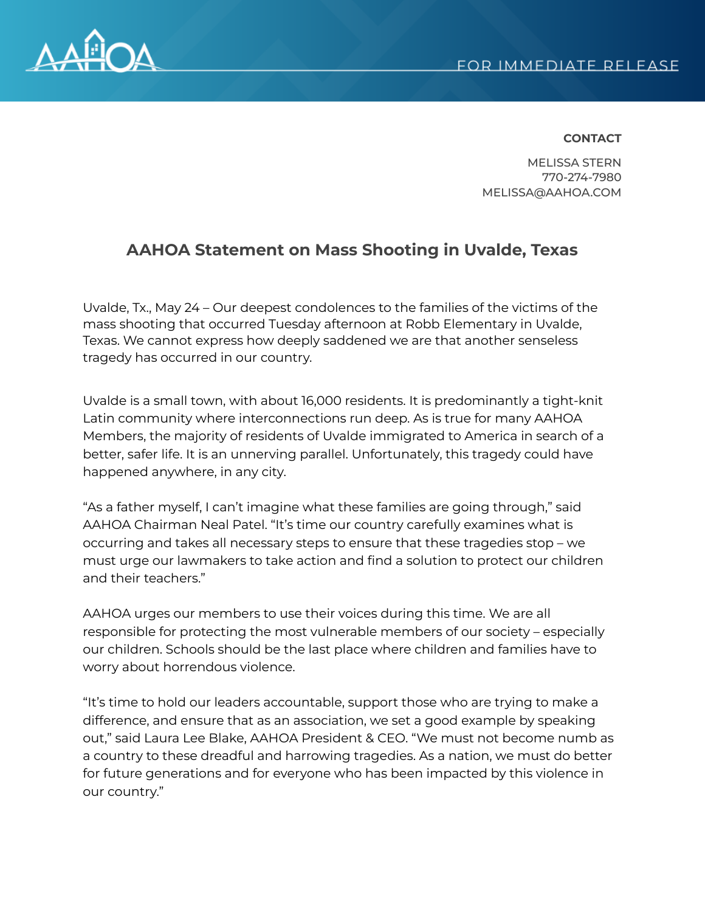

## **CONTACT**

MELISSA STERN 770-274-7980 MELISSA@AAHOA.COM

## **AAHOA Statement on Mass Shooting in Uvalde, Texas**

Uvalde, Tx., May 24 – Our deepest condolences to the families of the victims of the mass shooting that occurred Tuesday afternoon at Robb Elementary in Uvalde, Texas. We cannot express how deeply saddened we are that another senseless tragedy has occurred in our country.

Uvalde is a small town, with about 16,000 residents. It is predominantly a tight-knit Latin community where interconnections run deep. As is true for many AAHOA Members, the majority of residents of Uvalde immigrated to America in search of a better, safer life. It is an unnerving parallel. Unfortunately, this tragedy could have happened anywhere, in any city.

"As a father myself, I can't imagine what these families are going through," said AAHOA Chairman Neal Patel. "It's time our country carefully examines what is occurring and takes all necessary steps to ensure that these tragedies stop – we must urge our lawmakers to take action and find a solution to protect our children and their teachers."

AAHOA urges our members to use their voices during this time. We are all responsible for protecting the most vulnerable members of our society – especially our children. Schools should be the last place where children and families have to worry about horrendous violence.

"It's time to hold our leaders accountable, support those who are trying to make a difference, and ensure that as an association, we set a good example by speaking out," said Laura Lee Blake, AAHOA President & CEO. "We must not become numb as a country to these dreadful and harrowing tragedies. As a nation, we must do better for future generations and for everyone who has been impacted by this violence in our country."